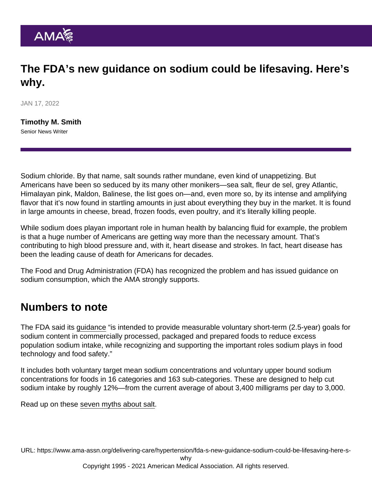## The FDA's new guidance on sodium could be lifesaving. Here's why.

JAN 17, 2022

[Timothy M. Smith](https://www.ama-assn.org/news-leadership-viewpoints/authors-news-leadership-viewpoints/timothy-m-smith) Senior News Writer

Sodium chloride. By that name, salt sounds rather mundane, even kind of unappetizing. But Americans have been so seduced by its many other monikers—sea salt, fleur de sel, grey Atlantic, Himalayan pink, Maldon, Balinese, the list goes on—and, even more so, by its intense and amplifying flavor that it's now found in startling amounts in just about everything they buy in the market. It is found in large amounts in cheese, bread, frozen foods, even poultry, and it's literally killing people.

While sodium does playan important role in human health by balancing fluid for example, the problem is that a huge number of Americans are getting way more than the necessary amount. That's contributing to high blood pressure and, with it, heart disease and strokes. In fact, heart disease has been the leading cause of death for Americans for decades.

The Food and Drug Administration (FDA) has recognized the problem and has issued guidance on sodium consumption, which the AMA strongly supports.

## Numbers to note

The FDA said its [guidance](https://www.fda.gov/food/food-additives-petitions/sodium-reduction) "is intended to provide measurable voluntary short-term (2.5-year) goals for sodium content in commercially processed, packaged and prepared foods to reduce excess population sodium intake, while recognizing and supporting the important roles sodium plays in food technology and food safety."

It includes both voluntary target mean sodium concentrations and voluntary upper bound sodium concentrations for foods in 16 categories and 163 sub-categories. These are designed to help cut sodium intake by roughly 12%—from the current average of about 3,400 milligrams per day to 3,000.

Read up on these [seven myths about salt.](https://www.ama-assn.org/delivering-care/hypertension/do-your-patients-believe-these-7-myths-about-salt)

URL: [https://www.ama-assn.org/delivering-care/hypertension/fda-s-new-guidance-sodium-could-be-lifesaving-here-s-](https://www.ama-assn.org/delivering-care/hypertension/fda-s-new-guidance-sodium-could-be-lifesaving-here-s-why)

[why](https://www.ama-assn.org/delivering-care/hypertension/fda-s-new-guidance-sodium-could-be-lifesaving-here-s-why)